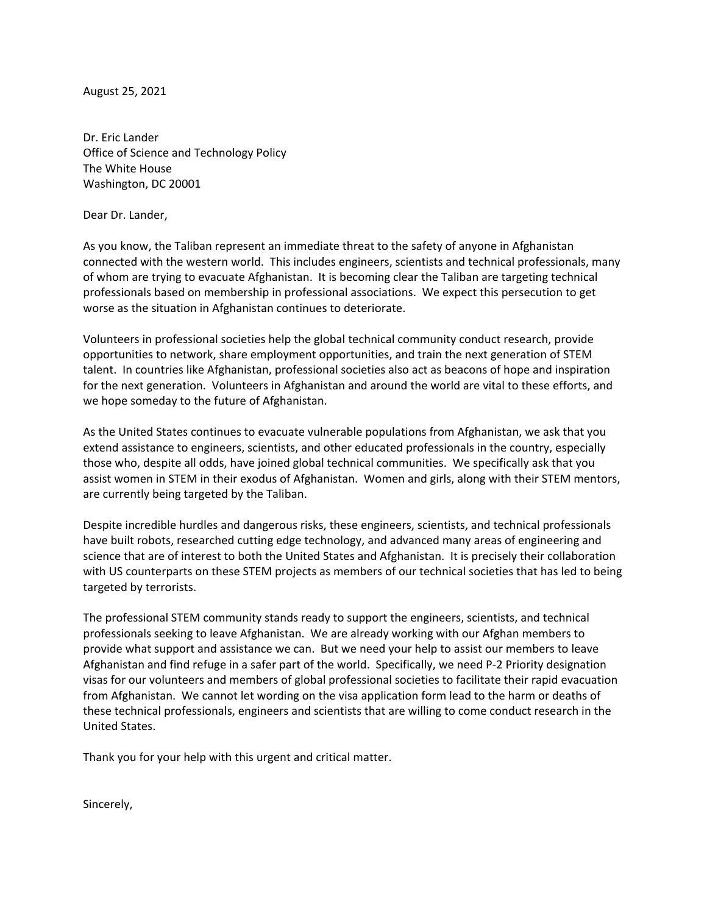August 25, 2021

Dr. Eric Lander Office of Science and Technology Policy The White House Washington, DC 20001

Dear Dr. Lander,

As you know, the Taliban represent an immediate threat to the safety of anyone in Afghanistan connected with the western world. This includes engineers, scientists and technical professionals, many of whom are trying to evacuate Afghanistan. It is becoming clear the Taliban are targeting technical professionals based on membership in professional associations. We expect this persecution to get worse as the situation in Afghanistan continues to deteriorate.

Volunteers in professional societies help the global technical community conduct research, provide opportunities to network, share employment opportunities, and train the next generation of STEM talent. In countries like Afghanistan, professional societies also act as beacons of hope and inspiration for the next generation. Volunteers in Afghanistan and around the world are vital to these efforts, and we hope someday to the future of Afghanistan.

As the United States continues to evacuate vulnerable populations from Afghanistan, we ask that you extend assistance to engineers, scientists, and other educated professionals in the country, especially those who, despite all odds, have joined global technical communities. We specifically ask that you assist women in STEM in their exodus of Afghanistan. Women and girls, along with their STEM mentors, are currently being targeted by the Taliban.

Despite incredible hurdles and dangerous risks, these engineers, scientists, and technical professionals have built robots, researched cutting edge technology, and advanced many areas of engineering and science that are of interest to both the United States and Afghanistan. It is precisely their collaboration with US counterparts on these STEM projects as members of our technical societies that has led to being targeted by terrorists.

The professional STEM community stands ready to support the engineers, scientists, and technical professionals seeking to leave Afghanistan. We are already working with our Afghan members to provide what support and assistance we can. But we need your help to assist our members to leave Afghanistan and find refuge in a safer part of the world. Specifically, we need P-2 Priority designation visas for our volunteers and members of global professional societies to facilitate their rapid evacuation from Afghanistan. We cannot let wording on the visa application form lead to the harm or deaths of these technical professionals, engineers and scientists that are willing to come conduct research in the United States.

Thank you for your help with this urgent and critical matter.

Sincerely,